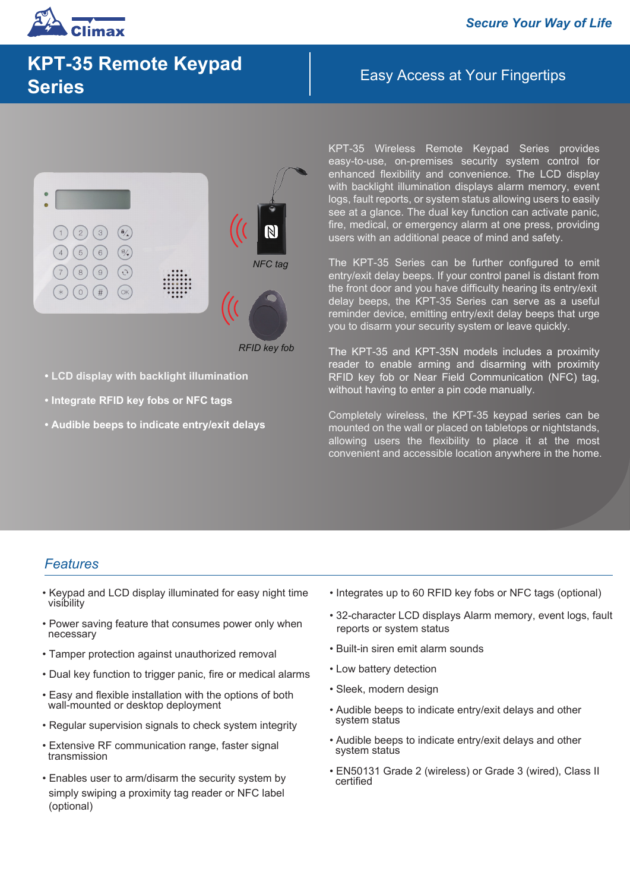# Easy Access at Your Fingertips **KPT-35 Remote Keypad Series**



*RFID key fob*

- **LCD display with backlight illumination**
- **Integrate RFID key fobs or NFC tags**
- **Audible beeps to indicate entry/exit delays**

KPT-35 Wireless Remote Keypad Series provides easy-to-use, on-premises security system control for enhanced flexibility and convenience. The LCD display with backlight illumination displays alarm memory, event logs, fault reports, or system status allowing users to easily see at a glance. The dual key function can activate panic, fire, medical, or emergency alarm at one press, providing users with an additional peace of mind and safety.

The KPT-35 Series can be further configured to emit entry/exit delay beeps. If your control panel is distant from the front door and you have difficulty hearing its entry/exit delay beeps, the KPT-35 Series can serve as a useful reminder device, emitting entry/exit delay beeps that urge you to disarm your security system or leave quickly.

The KPT-35 and KPT-35N models includes a proximity reader to enable arming and disarming with proximity RFID key fob or Near Field Communication (NFC) tag, without having to enter a pin code manually.

Completely wireless, the KPT-35 keypad series can be mounted on the wall or placed on tabletops or nightstands, allowing users the flexibility to place it at the most convenient and accessible location anywhere in the home.

## *Features*

- Keypad and LCD display illuminated for easy night time visibility
- Power saving feature that consumes power only when necessary
- Tamper protection against unauthorized removal
- Dual key function to trigger panic, fire or medical alarms
- Easy and flexible installation with the options of both wall-mounted or desktop deployment
- Regular supervision signals to check system integrity
- Extensive RF communication range, faster signal transmission
- Enables user to arm/disarm the security system by simply swiping a proximity tag reader or NFC label (optional)
- Integrates up to 60 RFID key fobs or NFC tags (optional)
- 32-character LCD displays Alarm memory, event logs, fault reports or system status
- Built-in siren emit alarm sounds
- Low battery detection
- Sleek, modern design
- Audible beeps to indicate entry/exit delays and other system status
- Audible beeps to indicate entry/exit delays and other system status
- EN50131 Grade 2 (wireless) or Grade 3 (wired), Class II certified